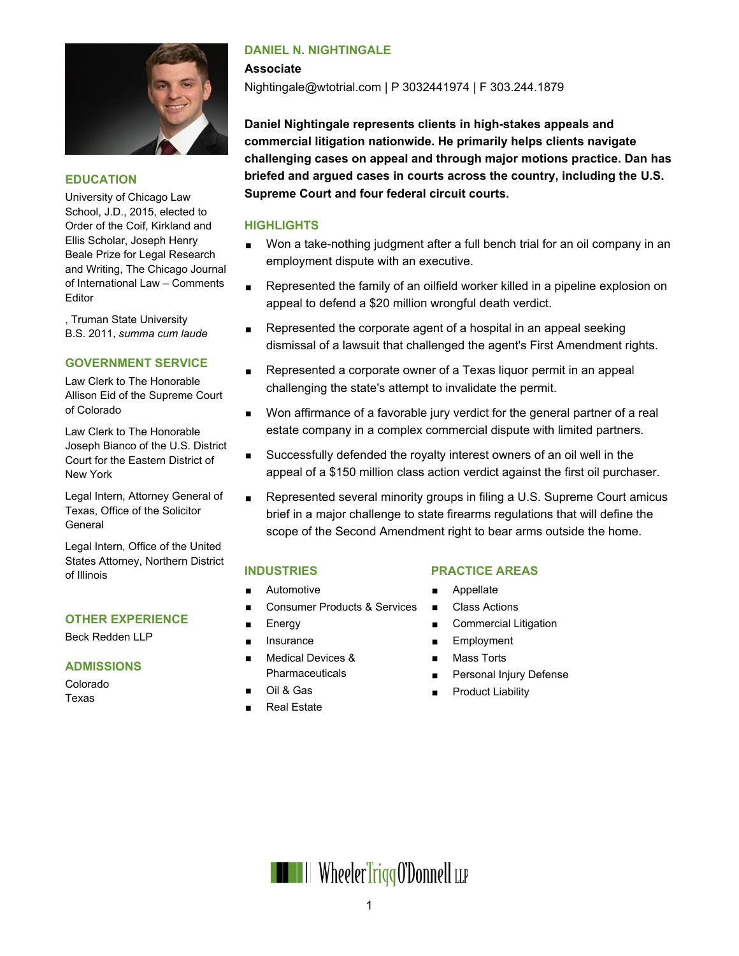

#### **EDUCATION**

University of Chicago Law School, J.D., 2015, elected to Order of the Coif, Kirkland and Ellis Scholar, Joseph Henry Beale Prize for Legal Research and Writing, The Chicago Journal of International Law – Comments Editor

, Truman State University B.S. 2011, *summa cum laude*

#### **GOVERNMENT SERVICE**

Law Clerk to The Honorable Allison Eid of the Supreme Court of Colorado

Law Clerk to The Honorable Joseph Bianco of the U.S. District Court for the Eastern District of New York

Legal Intern, Attorney General of Texas, Office of the Solicitor General

Legal Intern, Office of the United States Attorney, Northern District of Illinois

#### **OTHER EXPERIENCE**

Beck Redden LLP

#### **ADMISSIONS**

Colorado Texas

### **DANIEL N. NIGHTINGALE**

Nightingale@wtotrial.com | P 3032441974 | F 303.244.1879

**Daniel Nightingale represents clients in high-stakes appeals and commercial litigation nationwide. He primarily helps clients navigate challenging cases on appeal and through major motions practice. Dan has briefed and argued cases in courts across the country, including the U.S. Supreme Court and four federal circuit courts.**

#### **HIGHLIGHTS**

**Associate**

- Won a take-nothing judgment after a full bench trial for an oil company in an employment dispute with an executive.
- **Represented the family of an oilfield worker killed in a pipeline explosion on** appeal to defend a \$20 million wrongful death verdict.
- Represented the corporate agent of a hospital in an appeal seeking dismissal of a lawsuit that challenged the agent's First Amendment rights.
- Represented a corporate owner of a Texas liquor permit in an appeal challenging the state's attempt to invalidate the permit.
- **Non affirmance of a favorable jury verdict for the general partner of a real** estate company in a complex commercial dispute with limited partners.
- Successfully defended the royalty interest owners of an oil well in the appeal of a \$150 million class action verdict against the first oil purchaser.
- Represented several minority groups in filing a U.S. Supreme Court amicus brief in a major challenge to state firearms regulations that will define the scope of the Second Amendment right to bear arms outside the home.

## **INDUSTRIES**

- **Automotive**
- Consumer Products & Services
- Energy
- **Insurance**
- **Medical Devices & Pharmaceuticals**
- Oil & Gas
- Real Estate

### **PRACTICE AREAS**

- **Appellate**
- Class Actions
- **Commercial Litigation**
- **Employment**
- Mass Torts
- Personal Injury Defense
- Product Liability

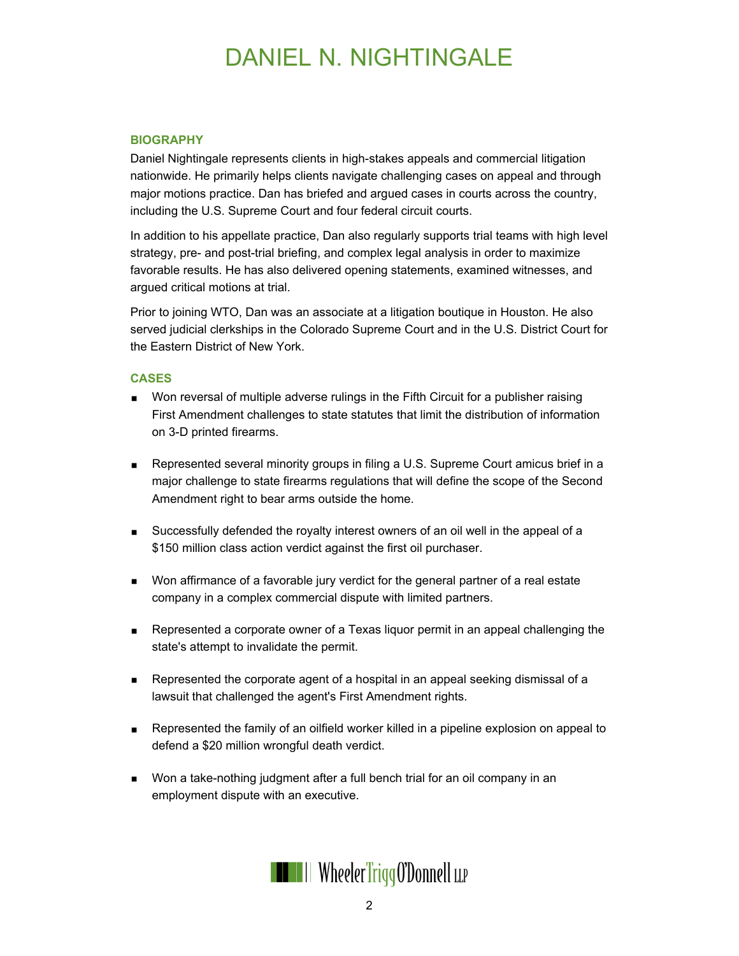# DANIEL N. NIGHTINGALE

#### **BIOGRAPHY**

Daniel Nightingale represents clients in high-stakes appeals and commercial litigation nationwide. He primarily helps clients navigate challenging cases on appeal and through major motions practice. Dan has briefed and argued cases in courts across the country, including the U.S. Supreme Court and four federal circuit courts.

In addition to his appellate practice, Dan also regularly supports trial teams with high level strategy, pre- and post-trial briefing, and complex legal analysis in order to maximize favorable results. He has also delivered opening statements, examined witnesses, and argued critical motions at trial.

Prior to joining WTO, Dan was an associate at a litigation boutique in Houston. He also served judicial clerkships in the Colorado Supreme Court and in the U.S. District Court for the Eastern District of New York.

#### **CASES**

- **Non reversal of multiple adverse rulings in the Fifth Circuit for a publisher raising** First Amendment challenges to state statutes that limit the distribution of information on 3-D printed firearms.
- Represented several minority groups in filing a U.S. Supreme Court amicus brief in a major challenge to state firearms regulations that will define the scope of the Second Amendment right to bear arms outside the home.
- **Successfully defended the royalty interest owners of an oil well in the appeal of a** \$150 million class action verdict against the first oil purchaser.
- **Non affirmance of a favorable jury verdict for the general partner of a real estate** company in a complex commercial dispute with limited partners.
- **Represented a corporate owner of a Texas liquor permit in an appeal challenging the** state's attempt to invalidate the permit.
- Represented the corporate agent of a hospital in an appeal seeking dismissal of a lawsuit that challenged the agent's First Amendment rights.
- **Represented the family of an oilfield worker killed in a pipeline explosion on appeal to** defend a \$20 million wrongful death verdict.
- **Non a take-nothing judgment after a full bench trial for an oil company in an** employment dispute with an executive.